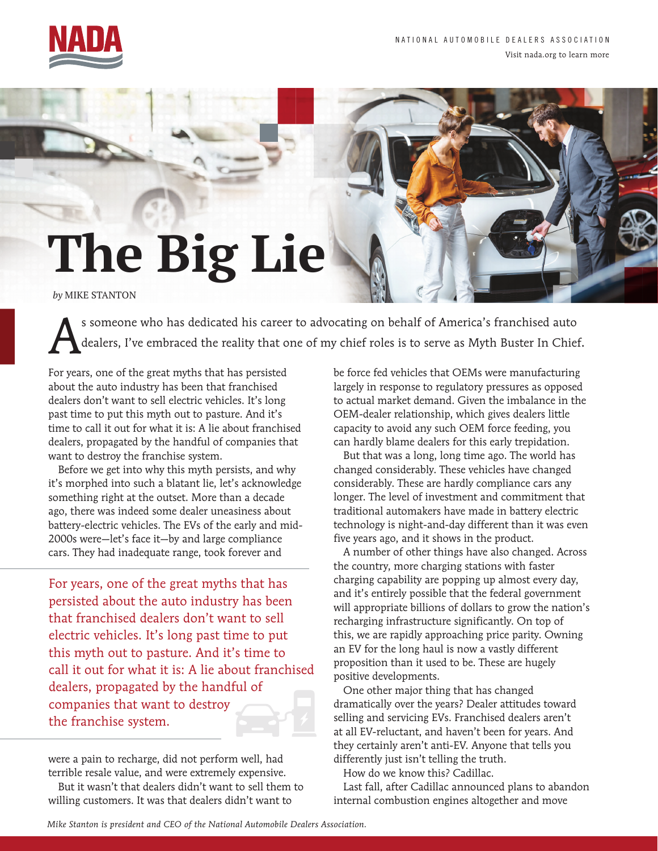

## **The Big Lie**  *by* MIKE STANTON

s someone who has dedicated his career to advocating on behalf of America's franchised auto<br>dealers, I've embraced the reality that one of my chief roles is to serve as Myth Buster In Chief dealers, I've embraced the reality that one of my chief roles is to serve as Myth Buster In Chief.

For years, one of the great myths that has persisted about the auto industry has been that franchised dealers don't want to sell electric vehicles. It's long past time to put this myth out to pasture. And it's time to call it out for what it is: A lie about franchised dealers, propagated by the handful of companies that want to destroy the franchise system.

Before we get into why this myth persists, and why it's morphed into such a blatant lie, let's acknowledge something right at the outset. More than a decade ago, there was indeed some dealer uneasiness about battery-electric vehicles. The EVs of the early and mid-2000s were—let's face it—by and large compliance cars. They had inadequate range, took forever and

For years, one of the great myths that has persisted about the auto industry has been that franchised dealers don't want to sell electric vehicles. It's long past time to put this myth out to pasture. And it's time to call it out for what it is: A lie about franchised dealers, propagated by the handful of companies that want to destroy the franchise system.

were a pain to recharge, did not perform well, had terrible resale value, and were extremely expensive.

But it wasn't that dealers didn't want to sell them to willing customers. It was that dealers didn't want to

be force fed vehicles that OEMs were manufacturing largely in response to regulatory pressures as opposed to actual market demand. Given the imbalance in the OEM-dealer relationship, which gives dealers little capacity to avoid any such OEM force feeding, you can hardly blame dealers for this early trepidation.

But that was a long, long time ago. The world has changed considerably. These vehicles have changed considerably. These are hardly compliance cars any longer. The level of investment and commitment that traditional automakers have made in battery electric technology is night-and-day different than it was even five years ago, and it shows in the product.

A number of other things have also changed. Across the country, more charging stations with faster charging capability are popping up almost every day, and it's entirely possible that the federal government will appropriate billions of dollars to grow the nation's recharging infrastructure significantly. On top of this, we are rapidly approaching price parity. Owning an EV for the long haul is now a vastly different proposition than it used to be. These are hugely positive developments.

One other major thing that has changed dramatically over the years? Dealer attitudes toward selling and servicing EVs. Franchised dealers aren't at all EV-reluctant, and haven't been for years. And they certainly aren't anti-EV. Anyone that tells you differently just isn't telling the truth.

How do we know this? Cadillac.

Last fall, after Cadillac announced plans to abandon internal combustion engines altogether and move